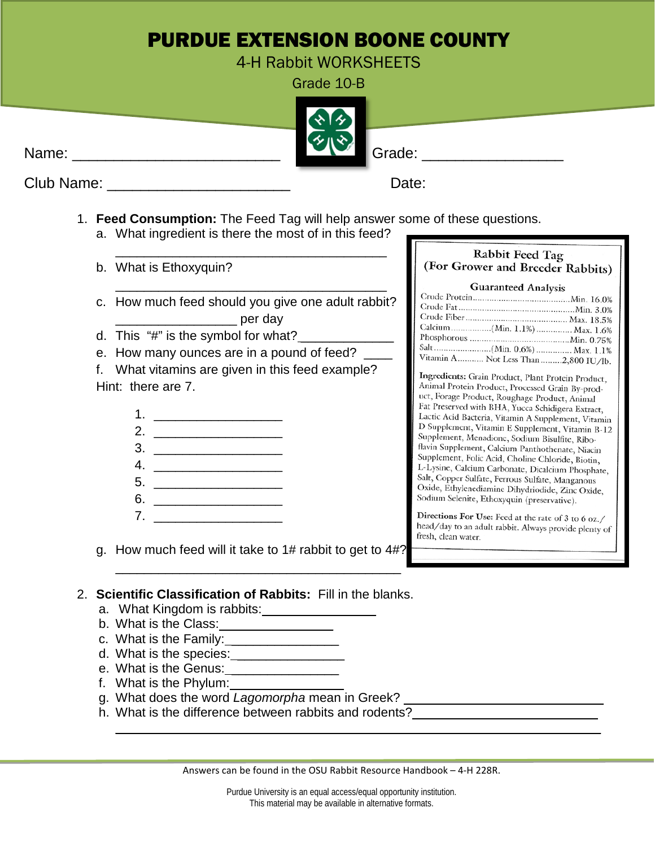## PURDUE EXTENSION BOONE COUNTY

4-H Rabbit WORKSHEETS

Grade 10-B



Club Name: \_\_\_\_\_\_\_\_\_\_\_\_\_\_\_\_\_\_\_\_\_\_ Date:

- 1. **Feed Consumption:** The Feed Tag will help answer some of these questions.
	- a. What ingredient is there the most of in this feed?

\_\_\_\_\_\_\_\_\_\_\_\_\_\_\_\_\_\_\_\_\_\_\_\_\_\_\_\_\_\_\_\_\_\_\_\_\_\_

\_\_\_\_\_\_\_\_\_\_\_\_\_\_\_\_\_\_\_\_\_\_\_\_\_\_\_\_\_\_\_\_\_\_\_\_\_\_

- b. What is Ethoxyquin?
- c. How much feed should you give one adult rabbit? \_\_\_\_\_\_\_\_\_\_\_\_\_\_\_\_\_ per day
- d. This  $H$ " is the symbol for what?
- e. How many ounces are in a pound of feed?

f. What vitamins are given in this feed example? Hint: there are 7.

- 1. \_\_\_\_\_\_\_\_\_\_\_\_\_\_\_\_\_\_ 2. \_\_\_\_\_\_\_\_\_\_\_\_\_\_\_\_\_\_
- 3. \_\_\_\_\_\_\_\_\_\_\_\_\_\_\_\_\_\_
- $4.$
- $5.$
- 6. \_\_\_\_\_\_\_\_\_\_\_\_\_\_\_\_\_\_
- 7. \_\_\_\_\_\_\_\_\_\_\_\_\_\_\_\_\_\_

g. How much feed will it take to 1# rabbit to get to 4#?

 $\overline{\phantom{a}}$  , which is a set of the set of the set of the set of the set of the set of the set of the set of the set of the set of the set of the set of the set of the set of the set of the set of the set of the set of th

## Rabbit Feed Tag (For Grower and Breeder Rabbits)

## **Guaranteed Analysis**

| Calcium(Min. 1.1%) Max. 1.6%          |  |
|---------------------------------------|--|
|                                       |  |
|                                       |  |
| Vitamin A  Not Less Than 2,800 IU/lb. |  |

Ingredients: Grain Product, Plant Protein Product, Animal Protein Product, Processed Grain By-product, Forage Product, Roughage Product, Animal Fat Preserved with BHA, Yucca Schidigera Extract, Lactic Acid Bacteria, Vitamin A Supplement, Vitamin D Supplement, Vitamin E Supplement, Vitamin B-12 Supplement, Menadione, Sodium Bisulfite, Riboflavin Supplement, Calcium Panthothenate, Niacin Supplement, Folic Acid, Choline Chloride, Biotin, L-Lysine, Calcium Carbonate, Dicalcium Phosphate, Salt, Copper Sulfate, Ferrous Sulfate, Manganous Oxide, Ethylenediamine Dihydriodide, Zinc Oxide, Sodium Selenite, Ethoxyquin (preservative).

Directions For Use: Feed at the rate of 3 to 6 oz./ head/day to an adult rabbit. Always provide plenty of fresh, clean water.

- 2. **Scientific Classification of Rabbits:** Fill in the blanks.
	- a. What Kingdom is rabbits: \_\_\_\_\_\_\_\_\_\_\_\_\_\_\_\_\_
	- b. What is the Class:
	- c. What is the Family:
	- d. What is the species: \_\_\_\_\_\_\_\_\_\_\_\_\_\_\_
	- e. What is the Genus: \_
	- f. What is the Phylum:
	- g. What does the word *Lagomorpha* mean in Greek? \_\_\_\_\_\_\_\_\_\_\_\_\_\_\_\_\_\_\_\_\_\_\_\_\_\_\_\_\_\_\_
	- h. What is the difference between rabbits and rodents?

Answers can be found in the OSU Rabbit Resource Handbook – 4-H 228R.

 $\overline{\phantom{a}}$  ,  $\overline{\phantom{a}}$  ,  $\overline{\phantom{a}}$  ,  $\overline{\phantom{a}}$  ,  $\overline{\phantom{a}}$  ,  $\overline{\phantom{a}}$  ,  $\overline{\phantom{a}}$  ,  $\overline{\phantom{a}}$  ,  $\overline{\phantom{a}}$  ,  $\overline{\phantom{a}}$  ,  $\overline{\phantom{a}}$  ,  $\overline{\phantom{a}}$  ,  $\overline{\phantom{a}}$  ,  $\overline{\phantom{a}}$  ,  $\overline{\phantom{a}}$  ,  $\overline{\phantom{a}}$